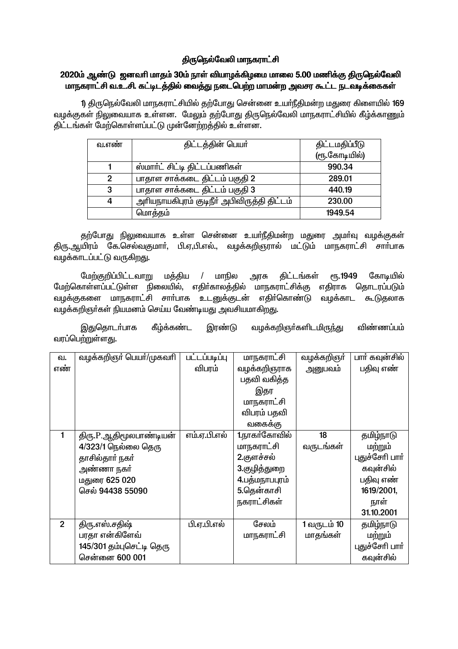# திருநெல்வேலி மாநகராட்சி

## 2020ம் ஆண்டு ஜனவரி மாதம் 30ம் நாள் வியாழக்கிழமை மாலை 5.00 மணிக்கு திருநெல்வேலி மாநகராட்சி வ.உ.சி. கட்டிடத்தில் வைத்து நடைபெற்ற மாமன்ற அவசர கூட்ட நடவடிக்கைகள்

1) திருநெல்வேலி மாநகராட்சியில் தற்போது சென்னை உயர்நீதிமன்ற மதுரை கிளையில் 169 வழக்குகள் நிலுவையாக உள்ளன. மேலும் தற்போது திருநெல்வேலி மாநகராட்சியில் கீழ்க்காணும் <u>கிட்டங்கள் மேற்கொள்ளப்பட்டு முன்னேற்றக்கில் உள்ளன.</u>

| வ.எண் | திட்டத்தின் பெயர்                           | திட்டமதிப்பீடு |  |
|-------|---------------------------------------------|----------------|--|
|       |                                             | (ரூ.கோடியில்)  |  |
|       | ஸ்மார்ட் சிட்டி திட்டப்பணிகள்               | 990.34         |  |
| 2     | பாதாள சாக்கடை திட்டம் பகுதி 2               | 289.01         |  |
| 3     | பாதாள சாக்கடை திட்டம் பகுதி 3               | 440.19         |  |
| 4     | அரியநாயகிபுரம் குடிநீர் அபிவிருத்தி திட்டம் | 230.00         |  |
|       | மொத்தம்                                     | 1949.54        |  |

தற்போது நிலுவையாக உள்ள சென்னை உயர்நீதிமன்ற மதுரை அமர்வு வழக்குகள் திரு.ஆயிரம் கே.செல்வகுமார், பி.ஏ.பி.எல்., வழக்கறிஞரால் மட்டும் மாநகராட்சி சார்பாக வழக்காடப்பட்டு வருகிறது.

மேற்குறிப்பிட்டவாறு மக்கிய மாநில கிட்டங்கள் கோடியில்  $\sqrt{ }$ அரசு PT<sub>b</sub>.1949 மேற்கொள்ளப்பட்டுள்ள நிலையில், எதிர்காலத்தில் மாநகராட்சிக்கு எதிராக தொடரப்படும் வழக்குகளை மாநகராட்சி சார்பாக உடனுக்குடன் எதிர்கொண்டு வழக்காட கூடுதலாக வடிக்கறிஞர்கள் நியமனம் செய்ய வேண்டியது அவசியமாகிறது.

கீழ்க்கண்ட இரண்டு வழக்கறிஞா்களிடமிருந்து விண்ணப்பம் இதுதொடர்பாக வரப்பெற்றுள்ளது.

|                | வழக்கறிஞர் பெயர்/முகவரி  | <b>ULLUU</b> | மாநகராட்சி     | வழக்கறிஞா்  | பார் கவுன்சில்  |
|----------------|--------------------------|--------------|----------------|-------------|-----------------|
| வ.             |                          |              |                |             |                 |
| எண்            |                          | விபரம்       | வழக்கறிஞராக    | அனுபவம்     | பதிவு எண்       |
|                |                          |              | பதவி வகித்த    |             |                 |
|                |                          |              | இதர            |             |                 |
|                |                          |              | மாநகராட்சி     |             |                 |
|                |                          |              | விபரம் பதவி    |             |                 |
|                |                          |              | வகைக்கு        |             |                 |
|                | திரு.P.ஆதிமூலபாண்டியன்   | எம்.ஏ.பி.எல் | 1.நாகர்கோவில்  | 18          | தமிழ்நாடு       |
|                | 4/323/1 நெல்லை தெரு      |              | மாநகராட்சி     | வருடங்கள்   | மற்றும்         |
|                | தாசில்தார் நகர்          |              | 2.குளச்சல்     |             | புதுச்சேரி பார் |
|                | அண்ணா நகர்               |              | 3.குழித்துறை   |             | கவுன்சில்       |
|                | மதுரை 625 020            |              | 4.பத்மநாபபுரம் |             | பதிவு எண்       |
|                | செல் 94438 55090         |              | 5.தென்காசி     |             | 1619/2001,      |
|                |                          |              | நகராட்சிகள்    |             | நாள்            |
|                |                          |              |                |             | 31.10.2001      |
| $\overline{2}$ | திரு.எஸ்.சதிஷ்           | பி.ஏ.பி.எல்  | சேலம்          | 1 வருடம் 10 | தமிழ்நாடு       |
|                | பரதா என்கிளேவ்           |              | மாநகராட்சி     | மாதங்கள்    | மற்றும்         |
|                | 145/301 தம்புசெட்டி தெரு |              |                |             | புதுச்சேரி பார் |
|                | சென்னை 600 001           |              |                |             | கவுன்சில்       |